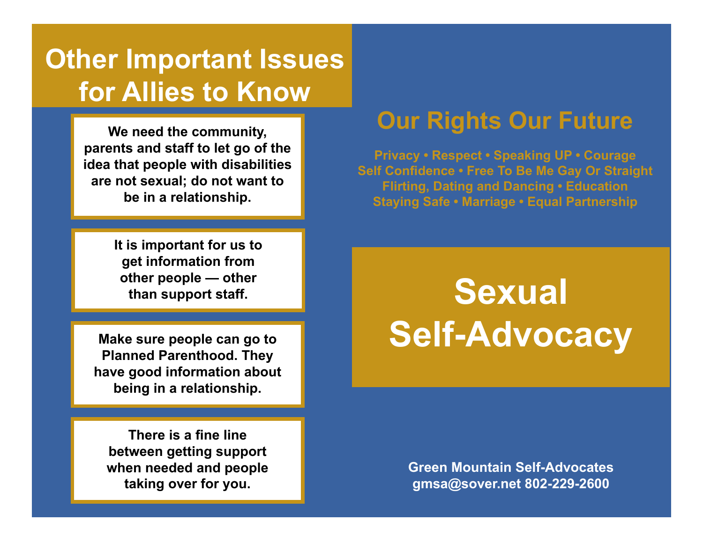## **Other Important Issues for Allies to Know**

**We need the community, parents and staff to let go of the idea that people with disabilities are not sexual; do not want to be in a relationship.**

> EN MOUNTAIN SELF-ADVOCATES **It is important for us to get information from other people — other than support staff.**

e<br>Dir<br>İr I<br>ISON<br>A \*\*CAN WE REDESIGN??\*\*\* **Make sure people can go to Planned Parenthood. They have good information about being in a relationship.**

**There is a fine line between getting support when needed and people taking over for you.**

## **Our Rights Our Future**

**Privacy • Respect • Speaking UP • Courage Self Confidence • Free To Be Me Gay Or Straight Flirting, Dating and Dancing • Education Staying Safe • Marriage • Equal Partnership** 

> **Sexual Self-Advocacy**

**Green Mountain Self-Advocates gmsa@sover.net 802-229-2600**